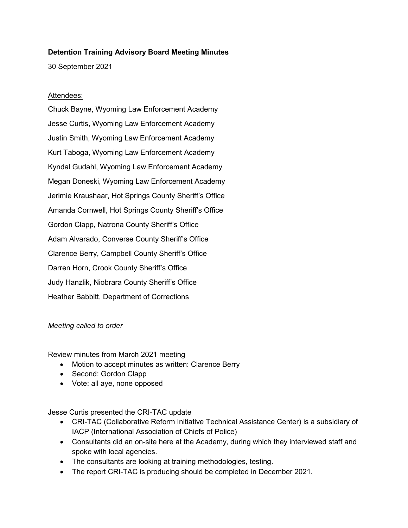## **Detention Training Advisory Board Meeting Minutes**

30 September 2021

## Attendees:

Chuck Bayne, Wyoming Law Enforcement Academy Jesse Curtis, Wyoming Law Enforcement Academy Justin Smith, Wyoming Law Enforcement Academy Kurt Taboga, Wyoming Law Enforcement Academy Kyndal Gudahl, Wyoming Law Enforcement Academy Megan Doneski, Wyoming Law Enforcement Academy Jerimie Kraushaar, Hot Springs County Sheriff's Office Amanda Cornwell, Hot Springs County Sheriff's Office Gordon Clapp, Natrona County Sheriff's Office Adam Alvarado, Converse County Sheriff's Office Clarence Berry, Campbell County Sheriff's Office Darren Horn, Crook County Sheriff's Office Judy Hanzlik, Niobrara County Sheriff's Office Heather Babbitt, Department of Corrections

## *Meeting called to order*

Review minutes from March 2021 meeting

- Motion to accept minutes as written: Clarence Berry
- Second: Gordon Clapp
- Vote: all aye, none opposed

Jesse Curtis presented the CRI-TAC update

- CRI-TAC (Collaborative Reform Initiative Technical Assistance Center) is a subsidiary of IACP (International Association of Chiefs of Police)
- Consultants did an on-site here at the Academy, during which they interviewed staff and spoke with local agencies.
- The consultants are looking at training methodologies, testing.
- The report CRI-TAC is producing should be completed in December 2021.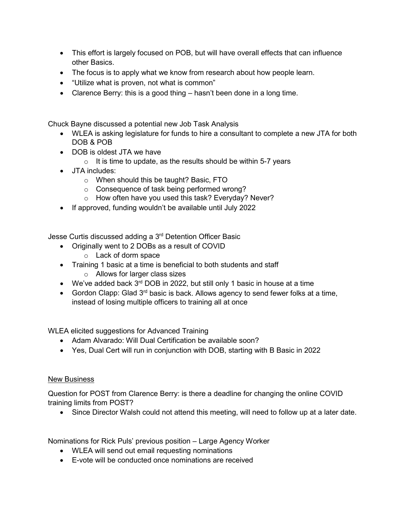- This effort is largely focused on POB, but will have overall effects that can influence other Basics.
- The focus is to apply what we know from research about how people learn.
- "Utilize what is proven, not what is common"
- Clarence Berry: this is a good thing hasn't been done in a long time.

Chuck Bayne discussed a potential new Job Task Analysis

- WLEA is asking legislature for funds to hire a consultant to complete a new JTA for both DOB & POB
- DOB is oldest JTA we have
	- $\circ$  It is time to update, as the results should be within 5-7 years
- JTA includes:
	- o When should this be taught? Basic, FTO
	- o Consequence of task being performed wrong?
	- o How often have you used this task? Everyday? Never?
- If approved, funding wouldn't be available until July 2022

Jesse Curtis discussed adding a 3rd Detention Officer Basic

- Originally went to 2 DOBs as a result of COVID
	- o Lack of dorm space
- Training 1 basic at a time is beneficial to both students and staff o Allows for larger class sizes
- We've added back  $3<sup>rd</sup>$  DOB in 2022, but still only 1 basic in house at a time
- Gordon Clapp: Glad 3<sup>rd</sup> basic is back. Allows agency to send fewer folks at a time, instead of losing multiple officers to training all at once

WLEA elicited suggestions for Advanced Training

- Adam Alvarado: Will Dual Certification be available soon?
- Yes, Dual Cert will run in conjunction with DOB, starting with B Basic in 2022

## New Business

Question for POST from Clarence Berry: is there a deadline for changing the online COVID training limits from POST?

• Since Director Walsh could not attend this meeting, will need to follow up at a later date.

Nominations for Rick Puls' previous position – Large Agency Worker

- WLEA will send out email requesting nominations
- E-vote will be conducted once nominations are received